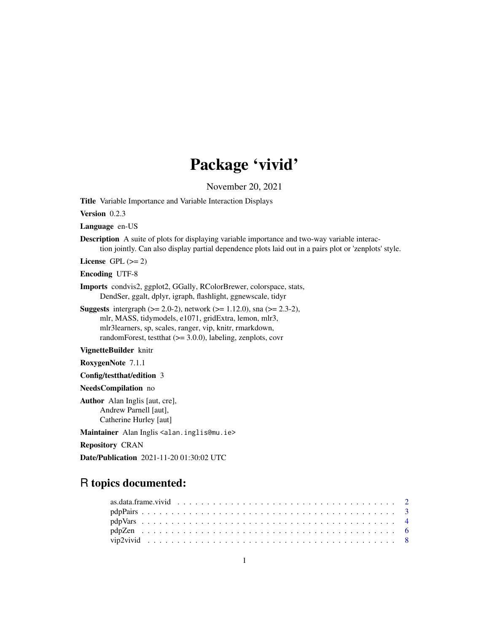## Package 'vivid'

November 20, 2021

Title Variable Importance and Variable Interaction Displays

Version 0.2.3

Language en-US

Description A suite of plots for displaying variable importance and two-way variable interaction jointly. Can also display partial dependence plots laid out in a pairs plot or 'zenplots' style.

License GPL  $(>= 2)$ 

Encoding UTF-8

Imports condvis2, ggplot2, GGally, RColorBrewer, colorspace, stats, DendSer, ggalt, dplyr, igraph, flashlight, ggnewscale, tidyr

**Suggests** intergraph  $(>= 2.0-2)$ , network  $(>= 1.12.0)$ , sna  $(>= 2.3-2)$ , mlr, MASS, tidymodels, e1071, gridExtra, lemon, mlr3, mlr3learners, sp, scales, ranger, vip, knitr, rmarkdown, randomForest, testthat (>= 3.0.0), labeling, zenplots, covr

VignetteBuilder knitr

RoxygenNote 7.1.1

Config/testthat/edition 3

NeedsCompilation no

Author Alan Inglis [aut, cre], Andrew Parnell [aut], Catherine Hurley [aut]

Maintainer Alan Inglis <alan.inglis@mu.ie>

Repository CRAN

Date/Publication 2021-11-20 01:30:02 UTC

### R topics documented: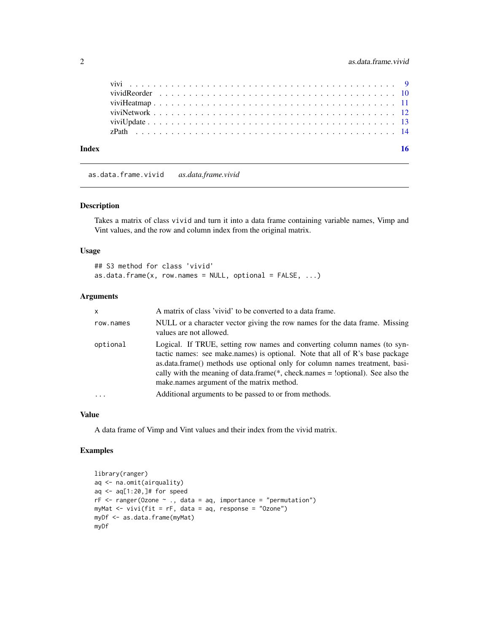<span id="page-1-0"></span>

| Index |  |  |  |  |  |  |  |  |  |  |  |  |  |  |  |  |  |  |  |
|-------|--|--|--|--|--|--|--|--|--|--|--|--|--|--|--|--|--|--|--|
|       |  |  |  |  |  |  |  |  |  |  |  |  |  |  |  |  |  |  |  |
|       |  |  |  |  |  |  |  |  |  |  |  |  |  |  |  |  |  |  |  |
|       |  |  |  |  |  |  |  |  |  |  |  |  |  |  |  |  |  |  |  |
|       |  |  |  |  |  |  |  |  |  |  |  |  |  |  |  |  |  |  |  |
|       |  |  |  |  |  |  |  |  |  |  |  |  |  |  |  |  |  |  |  |
|       |  |  |  |  |  |  |  |  |  |  |  |  |  |  |  |  |  |  |  |

as.data.frame.vivid *as.data.frame.vivid*

#### Description

Takes a matrix of class vivid and turn it into a data frame containing variable names, Vimp and Vint values, and the row and column index from the original matrix.

#### Usage

```
## S3 method for class 'vivid'
as.data.frame(x, row.names = NULL, optional = FALSE, ...)
```
#### Arguments

| $\mathsf{x}$ | A matrix of class 'vivid' to be converted to a data frame.                                                                                                                                                                                                                                                                                                                 |
|--------------|----------------------------------------------------------------------------------------------------------------------------------------------------------------------------------------------------------------------------------------------------------------------------------------------------------------------------------------------------------------------------|
| row.names    | NULL or a character vector giving the row names for the data frame. Missing<br>values are not allowed.                                                                                                                                                                                                                                                                     |
| optional     | Logical. If TRUE, setting row names and converting column names (to syn-<br>tactic names: see make.names) is optional. Note that all of R's base package<br>as.data.frame() methods use optional only for column names treatment, basi-<br>cally with the meaning of data.frame( $*$ , check.names = !optional). See also the<br>make names argument of the matrix method. |
| $\ddotsc$    | Additional arguments to be passed to or from methods.                                                                                                                                                                                                                                                                                                                      |

#### Value

A data frame of Vimp and Vint values and their index from the vivid matrix.

```
library(ranger)
aq <- na.omit(airquality)
aq <- aq[1:20,]# for speed
rF \leq r \text{anger}(\text{Ozone } \sim ., \text{ data = aq, importance = "permutation")}myMat <- vivi(fit = rF, data = aq, response = "Ozone")
myDf <- as.data.frame(myMat)
myDf
```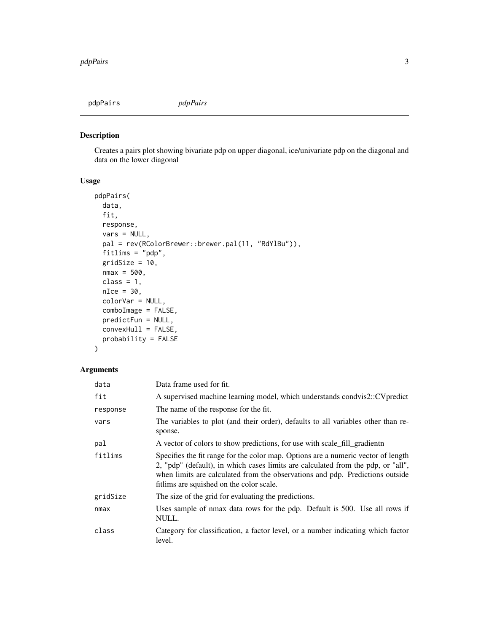<span id="page-2-0"></span>pdpPairs *pdpPairs*

#### Description

Creates a pairs plot showing bivariate pdp on upper diagonal, ice/univariate pdp on the diagonal and data on the lower diagonal

#### Usage

```
pdpPairs(
  data,
  fit,
 response,
 vars = NULL,
 pal = rev(RColorBrewer::brewer.pal(11, "RdYlBu")),
  fitlims = "pdp",
  gridSize = 10,
 nmax = 500,class = 1,
 nIce = 30,
  colorVar = NULL,
  comboImage = FALSE,
  predictFun = NULL,
  convexHull = FALSE,
 probability = FALSE
\mathcal{L}
```
#### Arguments

| data     | Data frame used for fit.                                                                                                                                                                                                                                                                           |
|----------|----------------------------------------------------------------------------------------------------------------------------------------------------------------------------------------------------------------------------------------------------------------------------------------------------|
| fit      | A supervised machine learning model, which understands condvis2::CVpredict                                                                                                                                                                                                                         |
| response | The name of the response for the fit.                                                                                                                                                                                                                                                              |
| vars     | The variables to plot (and their order), defaults to all variables other than re-<br>sponse.                                                                                                                                                                                                       |
| pal      | A vector of colors to show predictions, for use with scale_fill_gradientn                                                                                                                                                                                                                          |
| fitlims  | Specifies the fit range for the color map. Options are a numeric vector of length<br>2, "pdp" (default), in which cases limits are calculated from the pdp, or "all",<br>when limits are calculated from the observations and pdp. Predictions outside<br>fitlims are squished on the color scale. |
| gridSize | The size of the grid for evaluating the predictions.                                                                                                                                                                                                                                               |
| nmax     | Uses sample of nmax data rows for the pdp. Default is 500. Use all rows if<br>NULL.                                                                                                                                                                                                                |
| class    | Category for classification, a factor level, or a number indicating which factor<br>level.                                                                                                                                                                                                         |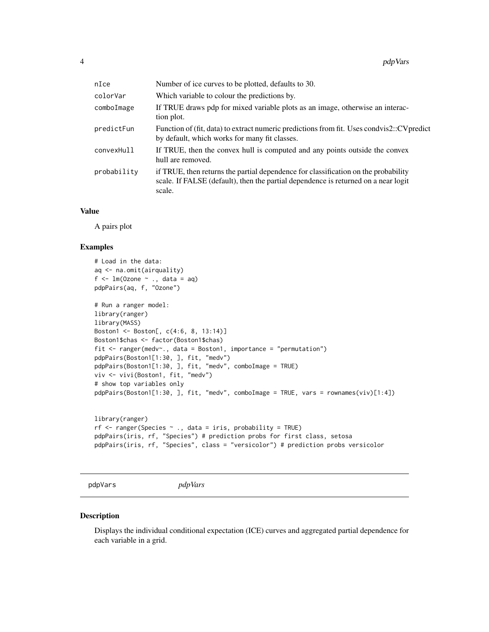<span id="page-3-0"></span>

| nIce        | Number of ice curves to be plotted, defaults to 30.                                                                                                                                |
|-------------|------------------------------------------------------------------------------------------------------------------------------------------------------------------------------------|
| colorVar    | Which variable to colour the predictions by.                                                                                                                                       |
| comboImage  | If TRUE draws pdp for mixed variable plots as an image, otherwise an interac-<br>tion plot.                                                                                        |
| predictFun  | Function of (fit, data) to extract numeric predictions from fit. Uses condvis2::CV predict<br>by default, which works for many fit classes.                                        |
| convexHull  | If TRUE, then the convex hull is computed and any points outside the convex<br>hull are removed.                                                                                   |
| probability | if TRUE, then returns the partial dependence for classification on the probability<br>scale. If FALSE (default), then the partial dependence is returned on a near logit<br>scale. |

#### Value

A pairs plot

#### Examples

```
# Load in the data:
aq <- na.omit(airquality)
f \leftarrow \text{lm}(\text{Ozone }\sim ., \text{ data = aq})pdpPairs(aq, f, "Ozone")
# Run a ranger model:
library(ranger)
library(MASS)
Boston1 <- Boston[, c(4:6, 8, 13:14)]
Boston1$chas <- factor(Boston1$chas)
fit <- ranger(medv~., data = Boston1, importance = "permutation")
pdpPairs(Boston1[1:30, ], fit, "medv")
pdpPairs(Boston1[1:30, ], fit, "medv", comboImage = TRUE)
viv <- vivi(Boston1, fit, "medv")
# show top variables only
pdpPairs(Boston1[1:30, ], fit, "medv", comboImage = TRUE, vars = rownames(viv)[1:4])
```

```
library(ranger)
rf <- ranger(Species ~ ., data = iris, probability = TRUE)
pdpPairs(iris, rf, "Species") # prediction probs for first class, setosa
pdpPairs(iris, rf, "Species", class = "versicolor") # prediction probs versicolor
```

```
pdpVars pdpVars
```
#### Description

Displays the individual conditional expectation (ICE) curves and aggregated partial dependence for each variable in a grid.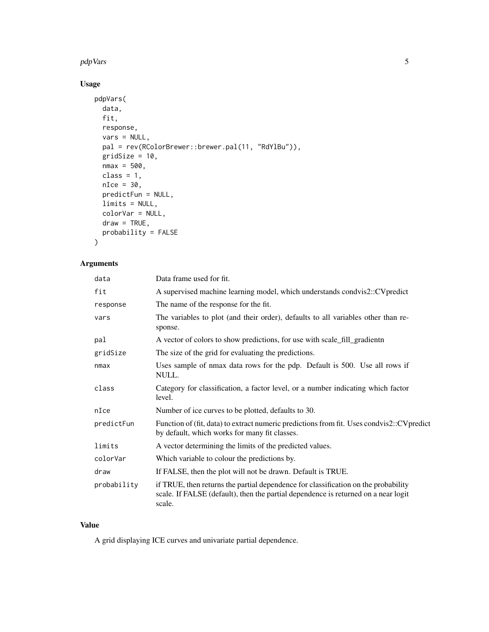#### pdpVars 5

#### Usage

```
pdpVars(
 data,
 fit,
 response,
 vars = NULL,
 pal = rev(RColorBrewer::brewer.pal(11, "RdYlBu")),
 gridSize = 10,
 nmax = 500,class = 1,
 nIce = 30,
 predictFun = NULL,
 limits = NULL,
 colorVar = NULL,
 draw = TRUE,probability = FALSE
)
```
#### Arguments

| data        | Data frame used for fit.                                                                                                                                                           |
|-------------|------------------------------------------------------------------------------------------------------------------------------------------------------------------------------------|
| fit         | A supervised machine learning model, which understands condvis2::CVpredict                                                                                                         |
| response    | The name of the response for the fit.                                                                                                                                              |
| vars        | The variables to plot (and their order), defaults to all variables other than re-<br>sponse.                                                                                       |
| pal         | A vector of colors to show predictions, for use with scale_fill_gradientn                                                                                                          |
| gridSize    | The size of the grid for evaluating the predictions.                                                                                                                               |
| nmax        | Uses sample of nmax data rows for the pdp. Default is 500. Use all rows if<br>NULL.                                                                                                |
| class       | Category for classification, a factor level, or a number indicating which factor<br>level.                                                                                         |
| nIce        | Number of ice curves to be plotted, defaults to 30.                                                                                                                                |
| predictFun  | Function of (fit, data) to extract numeric predictions from fit. Uses condvis2::CVpredict<br>by default, which works for many fit classes.                                         |
| limits      | A vector determining the limits of the predicted values.                                                                                                                           |
| colorVar    | Which variable to colour the predictions by.                                                                                                                                       |
| draw        | If FALSE, then the plot will not be drawn. Default is TRUE.                                                                                                                        |
| probability | if TRUE, then returns the partial dependence for classification on the probability<br>scale. If FALSE (default), then the partial dependence is returned on a near logit<br>scale. |

#### Value

A grid displaying ICE curves and univariate partial dependence.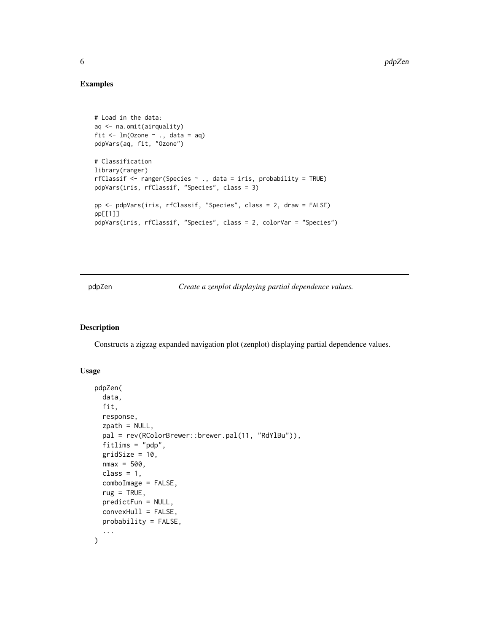#### Examples

```
# Load in the data:
aq <- na.omit(airquality)
fit \leq lm(Ozone \sim ., data = aq)
pdpVars(aq, fit, "Ozone")
# Classification
library(ranger)
rfClassif <- ranger(Species ~ ., data = iris, probability = TRUE)
pdpVars(iris, rfClassif, "Species", class = 3)
pp <- pdpVars(iris, rfClassif, "Species", class = 2, draw = FALSE)
pp[[1]]
pdpVars(iris, rfClassif, "Species", class = 2, colorVar = "Species")
```
pdpZen *Create a zenplot displaying partial dependence values.*

#### Description

Constructs a zigzag expanded navigation plot (zenplot) displaying partial dependence values.

#### Usage

```
pdpZen(
  data,
  fit,
  response,
  zpath = NULL,
  pal = rev(RColorBrewer::brewer.pal(11, "RdYlBu")),
  fitlims = "pdp",gridSize = 10,
  nmax = 500,
  class = 1,
  comboImage = FALSE,
  rug = TRUE,predictFun = NULL,
  convexHull = FALSE,
 probability = FALSE,
  ...
)
```
<span id="page-5-0"></span>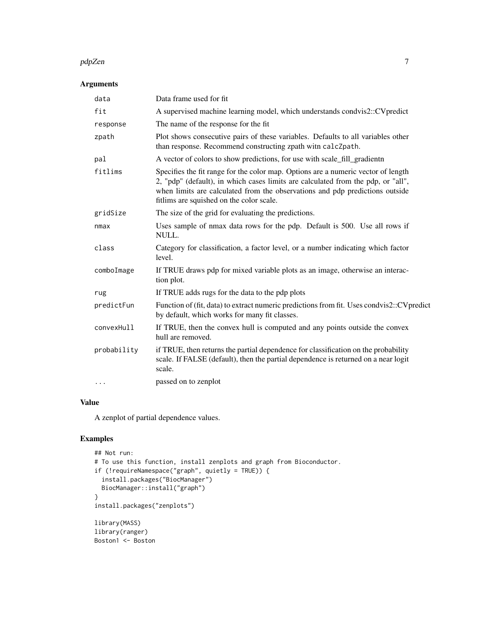#### pdpZen 7

#### Arguments

| data        | Data frame used for fit                                                                                                                                                                                                                                                                           |
|-------------|---------------------------------------------------------------------------------------------------------------------------------------------------------------------------------------------------------------------------------------------------------------------------------------------------|
| fit         | A supervised machine learning model, which understands condvis2::CVpredict                                                                                                                                                                                                                        |
| response    | The name of the response for the fit                                                                                                                                                                                                                                                              |
| zpath       | Plot shows consecutive pairs of these variables. Defaults to all variables other<br>than response. Recommend constructing zpath witn calcZpath.                                                                                                                                                   |
| pal         | A vector of colors to show predictions, for use with scale_fill_gradientn                                                                                                                                                                                                                         |
| fitlims     | Specifies the fit range for the color map. Options are a numeric vector of length<br>2, "pdp" (default), in which cases limits are calculated from the pdp, or "all",<br>when limits are calculated from the observations and pdp predictions outside<br>fitlims are squished on the color scale. |
| gridSize    | The size of the grid for evaluating the predictions.                                                                                                                                                                                                                                              |
| nmax        | Uses sample of nmax data rows for the pdp. Default is 500. Use all rows if<br>NULL.                                                                                                                                                                                                               |
| class       | Category for classification, a factor level, or a number indicating which factor<br>level.                                                                                                                                                                                                        |
| comboImage  | If TRUE draws pdp for mixed variable plots as an image, otherwise an interac-<br>tion plot.                                                                                                                                                                                                       |
| rug         | If TRUE adds rugs for the data to the pdp plots                                                                                                                                                                                                                                                   |
| predictFun  | Function of (fit, data) to extract numeric predictions from fit. Uses condvis2::CVpredict<br>by default, which works for many fit classes.                                                                                                                                                        |
| convexHull  | If TRUE, then the convex hull is computed and any points outside the convex<br>hull are removed.                                                                                                                                                                                                  |
| probability | if TRUE, then returns the partial dependence for classification on the probability<br>scale. If FALSE (default), then the partial dependence is returned on a near logit<br>scale.                                                                                                                |
| $\cdots$    | passed on to zenplot                                                                                                                                                                                                                                                                              |
|             |                                                                                                                                                                                                                                                                                                   |

#### Value

A zenplot of partial dependence values.

```
## Not run:
# To use this function, install zenplots and graph from Bioconductor.
if (!requireNamespace("graph", quietly = TRUE)) {
  install.packages("BiocManager")
  BiocManager::install("graph")
}
install.packages("zenplots")
library(MASS)
library(ranger)
Boston1 <- Boston
```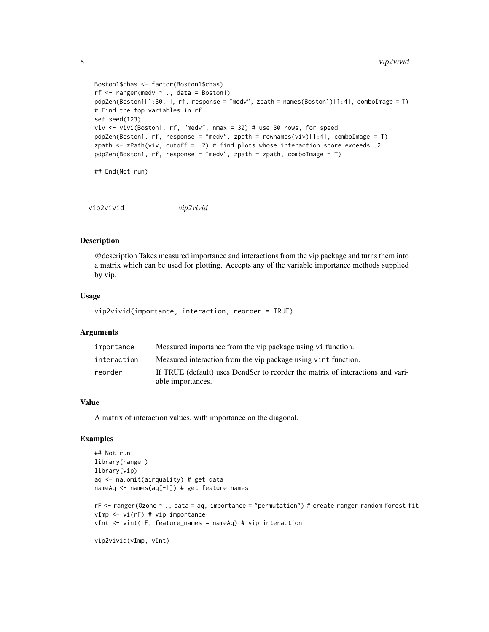```
Boston1$chas <- factor(Boston1$chas)
rf \leq ranger(medv \sim ., data = Boston1)
pdpZen(Boston1[1:30, ], rf, response = "medv", zpath = names(Boston1)[1:4], comboImage = T)
# Find the top variables in rf
set.seed(123)
viv <- vivi(Boston1, rf, "medv", nmax = 30) # use 30 rows, for speed
pdpZen(Boston1, rf, response = "medv", zpath = rownames(viv)[1:4], comboImage = T)
zpath <- zPath(viv, cutoff = .2) # find plots whose interaction score exceeds .2
pdpZen(Boston1, rf, response = "medv", zpath = zpath, comboImage = T)
## End(Not run)
```
vip2vivid *vip2vivid*

#### **Description**

@description Takes measured importance and interactions from the vip package and turns them into a matrix which can be used for plotting. Accepts any of the variable importance methods supplied by vip.

#### Usage

vip2vivid(importance, interaction, reorder = TRUE)

#### Arguments

| importance  | Measured importance from the vip package using vi function.                                         |
|-------------|-----------------------------------------------------------------------------------------------------|
| interaction | Measured interaction from the vip package using vint function.                                      |
| reorder     | If TRUE (default) uses DendSer to reorder the matrix of interactions and vari-<br>able importances. |

#### Value

A matrix of interaction values, with importance on the diagonal.

```
## Not run:
library(ranger)
library(vip)
aq <- na.omit(airquality) # get data
nameAq <- names(aq[-1]) # get feature names
rF <- ranger(Ozone ~ ., data = aq, importance = "permutation") # create ranger random forest fit
vImp <- vi(rF) # vip importance
vInt <- vint(rF, feature_names = nameAq) # vip interaction
vip2vivid(vImp, vInt)
```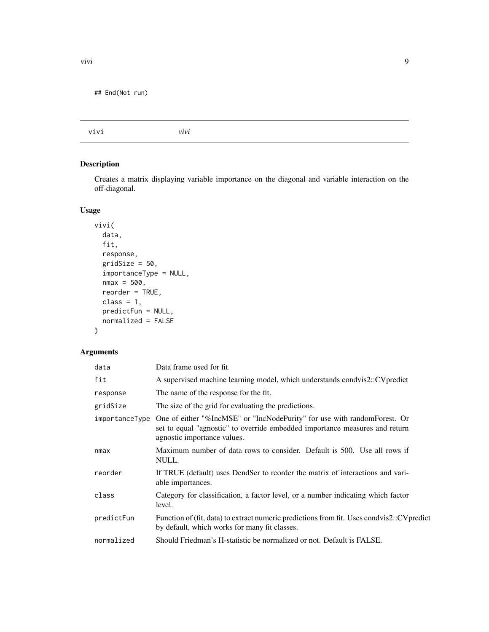<span id="page-8-0"></span>

#### Description

Creates a matrix displaying variable importance on the diagonal and variable interaction on the off-diagonal.

#### Usage

```
vivi(
  data,
  fit,
  response,
  gridSize = 50,
  importanceType = NULL,
  nmax = 500,reorder = TRUE,
  class = 1,
  predictFun = NULL,
  normalized = FALSE
\mathcal{L}
```
#### Arguments

| data           | Data frame used for fit.                                                                                                                                                               |
|----------------|----------------------------------------------------------------------------------------------------------------------------------------------------------------------------------------|
| fit            | A supervised machine learning model, which understands condvis2::CVpredict                                                                                                             |
| response       | The name of the response for the fit.                                                                                                                                                  |
| gridSize       | The size of the grid for evaluating the predictions.                                                                                                                                   |
| importanceType | One of either "%IncMSE" or "IncNodePurity" for use with randomForest. Or<br>set to equal "agnostic" to override embedded importance measures and return<br>agnostic importance values. |
| nmax           | Maximum number of data rows to consider. Default is 500. Use all rows if<br>NULL.                                                                                                      |
| reorder        | If TRUE (default) uses DendSer to reorder the matrix of interactions and vari-<br>able importances.                                                                                    |
| class          | Category for classification, a factor level, or a number indicating which factor<br>level.                                                                                             |
| predictFun     | Function of (fit, data) to extract numeric predictions from fit. Uses condvis2::CVpredict<br>by default, which works for many fit classes.                                             |
| normalized     | Should Friedman's H-statistic be normalized or not. Default is FALSE.                                                                                                                  |
|                |                                                                                                                                                                                        |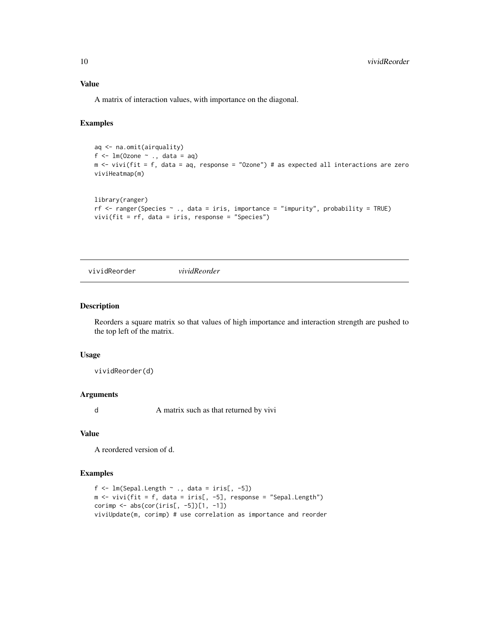#### Value

A matrix of interaction values, with importance on the diagonal.

#### Examples

```
aq <- na.omit(airquality)
f \leftarrow \text{lm}(\text{Ozone } \sim ., \text{ data = aq})m <- vivi(fit = f, data = aq, response = "Ozone") # as expected all interactions are zero
viviHeatmap(m)
library(ranger)
```

```
rf \le - ranger(Species \sim ., data = iris, importance = "impurity", probability = TRUE)
vivi(fit = rf, data = iris, response = "Species")
```
vividReorder *vividReorder*

#### Description

Reorders a square matrix so that values of high importance and interaction strength are pushed to the top left of the matrix.

#### Usage

vividReorder(d)

#### Arguments

d A matrix such as that returned by vivi

#### Value

A reordered version of d.

```
f \leftarrow \text{lm(Sepal.Length } \sim ., data = iris[, -5])
m \le - vivi(fit = f, data = iris[, -5], response = "Sepal.Length")
corimp <- abs(cor(iris[, -5])[1, -1])
viviUpdate(m, corimp) # use correlation as importance and reorder
```
<span id="page-9-0"></span>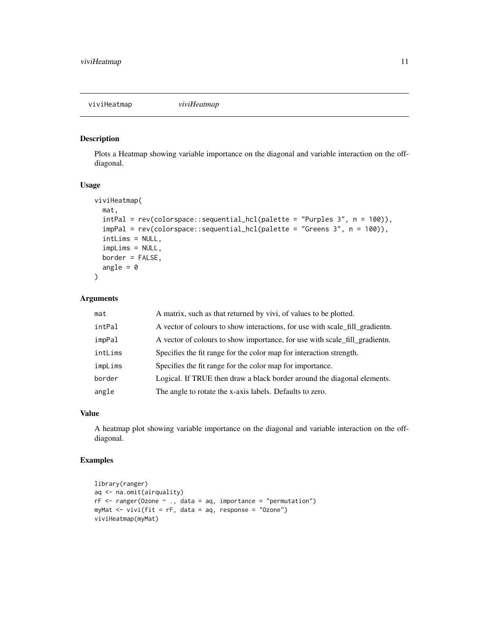<span id="page-10-0"></span>viviHeatmap *viviHeatmap*

#### Description

Plots a Heatmap showing variable importance on the diagonal and variable interaction on the offdiagonal.

#### Usage

```
viviHeatmap(
  mat,
  intPal = rev(colorspace::sequential_hcl(palette = "Purples 3", n = 100)),
  impPal = rev(colorspace::sequential_hcl(palette = "Greens 3", n = 100)),
  intLims = NULL,
  impLims = NULL,
 border = FALSE,
  angle = \theta)
```
#### Arguments

| mat     | A matrix, such as that returned by vivi, of values to be plotted.            |
|---------|------------------------------------------------------------------------------|
| intPal  | A vector of colours to show interactions, for use with scale fill gradientn. |
| impPal  | A vector of colours to show importance, for use with scale_fill_gradientn.   |
| intLims | Specifies the fit range for the color map for interaction strength.          |
| impLims | Specifies the fit range for the color map for importance.                    |
| border  | Logical. If TRUE then draw a black border around the diagonal elements.      |
| angle   | The angle to rotate the x-axis labels. Defaults to zero.                     |

#### Value

A heatmap plot showing variable importance on the diagonal and variable interaction on the offdiagonal.

```
library(ranger)
aq <- na.omit(airquality)
rF \leq -r anger(Ozone \sim ., data = aq, importance = "permutation")
myMat <- vivi(fit = rF, data = aq, response = "Ozone")
viviHeatmap(myMat)
```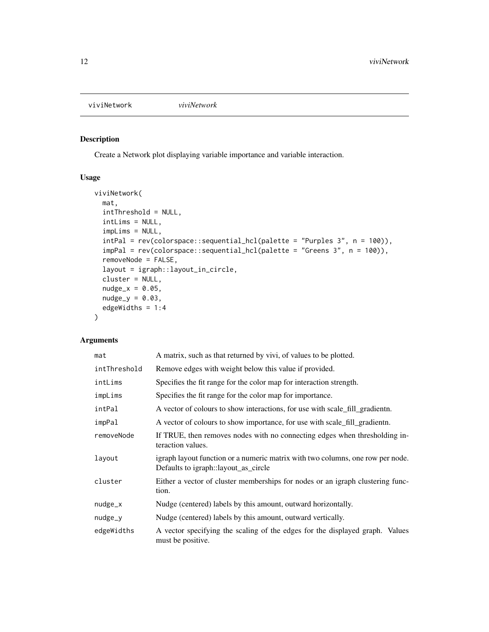<span id="page-11-0"></span>viviNetwork *viviNetwork*

#### Description

Create a Network plot displaying variable importance and variable interaction.

#### Usage

```
viviNetwork(
 mat,
  intThreshold = NULL,
  intLims = NULL,
  impLims = NULL,
  intPal = rev(colorspace::sequential_hcl(palette = "Purples 3", n = 100)),
  impPal = rev(colorspace::sequential_hcl(palette = "Greens 3", n = 100)),
  removeNode = FALSE,
  layout = igraph::layout_in_circle,
  cluster = NULL,
  nudge_x = 0.05,
  nudge_y = 0.03,
  edgeWidths = 1:4\mathcal{L}
```
#### Arguments

| mat          | A matrix, such as that returned by vivi, of values to be plotted.                                                      |
|--------------|------------------------------------------------------------------------------------------------------------------------|
| intThreshold | Remove edges with weight below this value if provided.                                                                 |
| intLims      | Specifies the fit range for the color map for interaction strength.                                                    |
| impLims      | Specifies the fit range for the color map for importance.                                                              |
| intPal       | A vector of colours to show interactions, for use with scale fill gradientn.                                           |
| impPal       | A vector of colours to show importance, for use with scale fill gradientn.                                             |
| removeNode   | If TRUE, then removes nodes with no connecting edges when thresholding in-<br>teraction values.                        |
| layout       | igraph layout function or a numeric matrix with two columns, one row per node.<br>Defaults to igraph::layout_as_circle |
| cluster      | Either a vector of cluster memberships for nodes or an igraph clustering func-<br>tion.                                |
| $nudge_x$    | Nudge (centered) labels by this amount, outward horizontally.                                                          |
| nudge_y      | Nudge (centered) labels by this amount, outward vertically.                                                            |
| edgeWidths   | A vector specifying the scaling of the edges for the displayed graph. Values<br>must be positive.                      |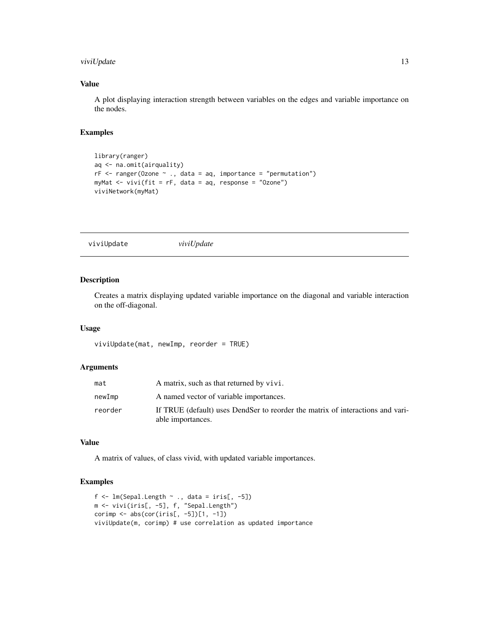#### <span id="page-12-0"></span>viviUpdate 13

#### Value

A plot displaying interaction strength between variables on the edges and variable importance on the nodes.

#### Examples

```
library(ranger)
aq <- na.omit(airquality)
rf \leftarrow ranger(Ozone \sim ., data = aq, importance = "permutation")myMat <- vivi(fit = rF, data = aq, response = "Ozone")
viviNetwork(myMat)
```
viviUpdate *viviUpdate*

#### Description

Creates a matrix displaying updated variable importance on the diagonal and variable interaction on the off-diagonal.

#### Usage

viviUpdate(mat, newImp, reorder = TRUE)

#### Arguments

| mat     | A matrix, such as that returned by vivi.                                                            |
|---------|-----------------------------------------------------------------------------------------------------|
| newImp  | A named vector of variable importances.                                                             |
| reorder | If TRUE (default) uses DendSer to reorder the matrix of interactions and vari-<br>able importances. |

#### Value

A matrix of values, of class vivid, with updated variable importances.

```
f \leftarrow \text{lm(Sepal.Length } \sim ., data = iris[, -5])
m <- vivi(iris[, -5], f, "Sepal.Length")
corimp <- abs(cor(iris[, -5])[1, -1])
viviUpdate(m, corimp) # use correlation as updated importance
```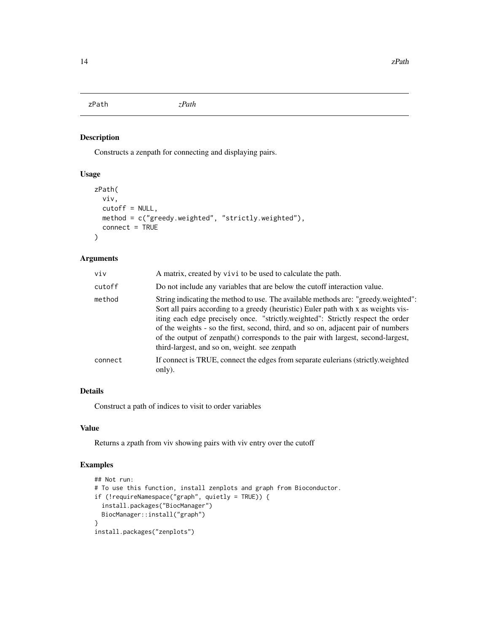<span id="page-13-0"></span>zPath *zPath*

#### Description

Constructs a zenpath for connecting and displaying pairs.

#### Usage

```
zPath(
 viv,
 cutoff = NULL,
 method = c("greedy.weighted", "strictly.weighted"),
  connect = TRUE
)
```
#### Arguments

| viv     | A matrix, created by vivi to be used to calculate the path.                                                                                                                                                                                                                                                                                                                                                                                                                           |
|---------|---------------------------------------------------------------------------------------------------------------------------------------------------------------------------------------------------------------------------------------------------------------------------------------------------------------------------------------------------------------------------------------------------------------------------------------------------------------------------------------|
| cutoff  | Do not include any variables that are below the cutoff interaction value.                                                                                                                                                                                                                                                                                                                                                                                                             |
| method  | String indicating the method to use. The available methods are: "greedy.weighted":<br>Sort all pairs according to a greedy (heuristic) Euler path with x as weights vis-<br>iting each edge precisely once. "strictly weighted": Strictly respect the order<br>of the weights - so the first, second, third, and so on, adjacent pair of numbers<br>of the output of zenpath() corresponds to the pair with largest, second-largest,<br>third-largest, and so on, weight, see zenpath |
| connect | If connect is TRUE, connect the edges from separate eulerians (strictly weighted<br>only).                                                                                                                                                                                                                                                                                                                                                                                            |

#### Details

Construct a path of indices to visit to order variables

#### Value

Returns a zpath from viv showing pairs with viv entry over the cutoff

```
## Not run:
# To use this function, install zenplots and graph from Bioconductor.
if (!requireNamespace("graph", quietly = TRUE)) {
  install.packages("BiocManager")
 BiocManager::install("graph")
}
install.packages("zenplots")
```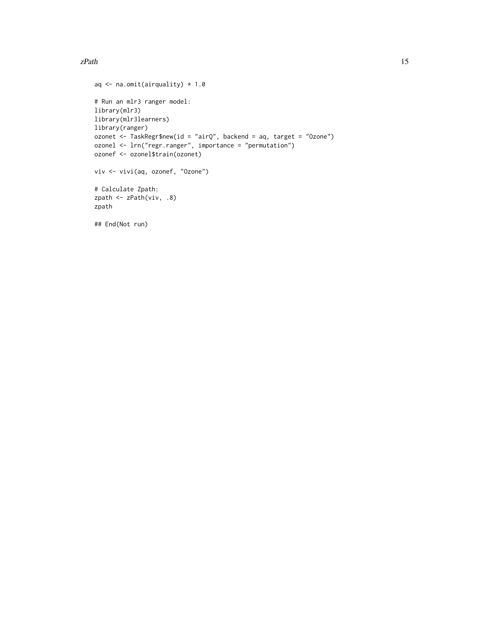#### $zPath$  15

```
aq \leq na.omit(airquality) \star 1.0
# Run an mlr3 ranger model:
library(mlr3)
library(mlr3learners)
library(ranger)
ozonet <- TaskRegr$new(id = "airQ", backend = aq, target = "Ozone")
ozonel <- lrn("regr.ranger", importance = "permutation")
ozonef <- ozonel$train(ozonet)
viv <- vivi(aq, ozonef, "Ozone")
# Calculate Zpath:
zpath <- zPath(viv, .8)
zpath
## End(Not run)
```